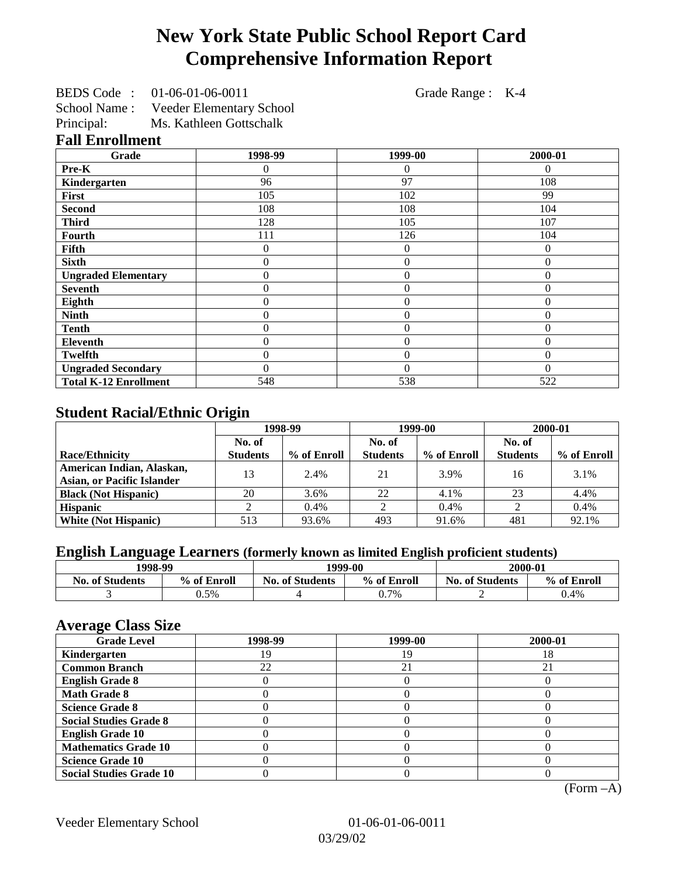# **New York State Public School Report Card Comprehensive Information Report**

BEDS Code : 01-06-01-06-0011 Grade Range : K-4 School Name : Veeder Elementary School

Principal: Ms. Kathleen Gottschalk

#### **Fall Enrollment**

| Grade                        | 1998-99        | 1999-00          | 2000-01      |
|------------------------------|----------------|------------------|--------------|
| Pre-K                        | 0              | $\overline{0}$   | $\Omega$     |
| Kindergarten                 | 96             | 97               | 108          |
| First                        | 105            | 102              | 99           |
| <b>Second</b>                | 108            | 108              | 104          |
| <b>Third</b>                 | 128            | 105              | 107          |
| <b>Fourth</b>                | 111            | 126              | 104          |
| Fifth                        | 0              | $\boldsymbol{0}$ | $\theta$     |
| <b>Sixth</b>                 | 0              | $\boldsymbol{0}$ | $\theta$     |
| <b>Ungraded Elementary</b>   | $\overline{0}$ | $\overline{0}$   | $\theta$     |
| <b>Seventh</b>               | 0              | $\overline{0}$   | $\theta$     |
| Eighth                       | $\overline{0}$ | $\theta$         | $\mathbf{0}$ |
| <b>Ninth</b>                 | 0              | $\overline{0}$   | $\theta$     |
| <b>Tenth</b>                 | 0              | $\overline{0}$   | $\theta$     |
| <b>Eleventh</b>              | 0              | $\overline{0}$   | $\mathbf{0}$ |
| <b>Twelfth</b>               | 0              | $\overline{0}$   | $\theta$     |
| <b>Ungraded Secondary</b>    | 0              | $\theta$         | $\Omega$     |
| <b>Total K-12 Enrollment</b> | 548            | 538              | 522          |

## **Student Racial/Ethnic Origin**

|                                                                | 1998-99         |             | 1999-00         |             | 2000-01         |             |
|----------------------------------------------------------------|-----------------|-------------|-----------------|-------------|-----------------|-------------|
|                                                                | No. of          |             | No. of          |             | No. of          |             |
| <b>Race/Ethnicity</b>                                          | <b>Students</b> | % of Enroll | <b>Students</b> | % of Enroll | <b>Students</b> | % of Enroll |
| American Indian, Alaskan,<br><b>Asian, or Pacific Islander</b> | 13              | 2.4%        | 21              | 3.9%        | 16              | 3.1%        |
| <b>Black (Not Hispanic)</b>                                    | 20              | 3.6%        | 22              | 4.1%        | 23              | 4.4%        |
| <b>Hispanic</b>                                                |                 | $0.4\%$     |                 | 0.4%        |                 | 0.4%        |
| <b>White (Not Hispanic)</b>                                    | 513             | 93.6%       | 493             | 91.6%       | 481             | 92.1%       |

# **English Language Learners (formerly known as limited English proficient students)**

| 1998-99                |             | 1999-00                |             | 2000-01                |             |
|------------------------|-------------|------------------------|-------------|------------------------|-------------|
| <b>No. of Students</b> | % of Enroll | <b>No. of Students</b> | % of Enroll | <b>No. of Students</b> | % of Enroll |
|                        | 0.5%        |                        | 0.7%        |                        | 0.4%        |

#### **Average Class Size**

| $\epsilon$<br><b>Grade Level</b> | 1998-99 | 1999-00 | 2000-01 |
|----------------------------------|---------|---------|---------|
| Kindergarten                     | 9       | 19      | 18      |
| <b>Common Branch</b>             | 22      | 21      | 21      |
| <b>English Grade 8</b>           |         |         |         |
| <b>Math Grade 8</b>              |         |         |         |
| <b>Science Grade 8</b>           |         |         |         |
| <b>Social Studies Grade 8</b>    |         |         |         |
| <b>English Grade 10</b>          |         |         |         |
| <b>Mathematics Grade 10</b>      |         |         |         |
| <b>Science Grade 10</b>          |         |         |         |
| <b>Social Studies Grade 10</b>   |         |         |         |

(Form –A)